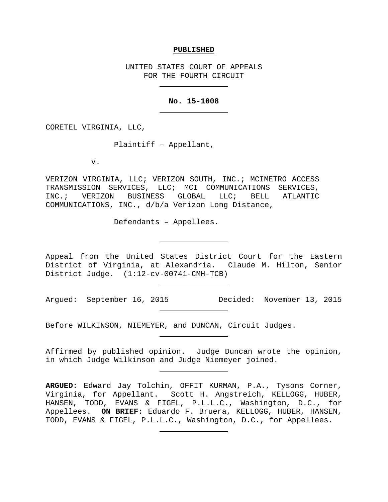#### **PUBLISHED**

UNITED STATES COURT OF APPEALS FOR THE FOURTH CIRCUIT

# **No. 15-1008**

CORETEL VIRGINIA, LLC,

Plaintiff – Appellant,

v.

VERIZON VIRGINIA, LLC; VERIZON SOUTH, INC.; MCIMETRO ACCESS TRANSMISSION SERVICES, LLC; MCI COMMUNICATIONS SERVICES,<br>INC.; VERIZON BUSINESS GLOBAL LLC; BELL ATLANTIC INC.; VERIZON BUSINESS GLOBAL LLC; BELL ATLANTIC COMMUNICATIONS, INC., d/b/a Verizon Long Distance,

Defendants – Appellees.

Appeal from the United States District Court for the Eastern District of Virginia, at Alexandria. Claude M. Hilton, Senior District Judge. (1:12-cv-00741-CMH-TCB)

Argued: September 16, 2015 Decided: November 13, 2015

Before WILKINSON, NIEMEYER, and DUNCAN, Circuit Judges.

Affirmed by published opinion. Judge Duncan wrote the opinion, in which Judge Wilkinson and Judge Niemeyer joined.

**ARGUED:** Edward Jay Tolchin, OFFIT KURMAN, P.A., Tysons Corner, Virginia, for Appellant. Scott H. Angstreich, KELLOGG, HUBER, HANSEN, TODD, EVANS & FIGEL, P.L.L.C., Washington, D.C., for Appellees. **ON BRIEF:** Eduardo F. Bruera, KELLOGG, HUBER, HANSEN, TODD, EVANS & FIGEL, P.L.L.C., Washington, D.C., for Appellees.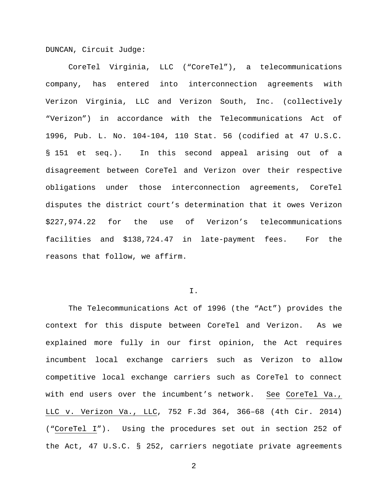DUNCAN, Circuit Judge:

CoreTel Virginia, LLC ("CoreTel"), a telecommunications company, has entered into interconnection agreements with Verizon Virginia, LLC and Verizon South, Inc. (collectively "Verizon") in accordance with the Telecommunications Act of 1996, Pub. L. No. 104-104, 110 Stat. 56 (codified at 47 U.S.C. § 151 et seq.). In this second appeal arising out of a disagreement between CoreTel and Verizon over their respective obligations under those interconnection agreements, CoreTel disputes the district court's determination that it owes Verizon \$227,974.22 for the use of Verizon's telecommunications facilities and \$138,724.47 in late-payment fees. For the reasons that follow, we affirm.

### I.

The Telecommunications Act of 1996 (the "Act") provides the context for this dispute between CoreTel and Verizon. As we explained more fully in our first opinion, the Act requires incumbent local exchange carriers such as Verizon to allow competitive local exchange carriers such as CoreTel to connect with end users over the incumbent's network. See CoreTel Va., LLC v. Verizon Va., LLC, 752 F.3d 364, 366–68 (4th Cir. 2014) ("CoreTel I"). Using the procedures set out in section 252 of the Act, 47 U.S.C. § 252, carriers negotiate private agreements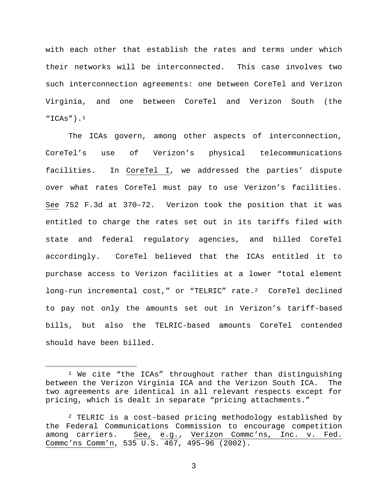with each other that establish the rates and terms under which their networks will be interconnected. This case involves two such interconnection agreements: one between CoreTel and Verizon Virginia, and one between CoreTel and Verizon South (the  $"ICAs"$ ).<sup>[1](#page-2-0)</sup>

The ICAs govern, among other aspects of interconnection, CoreTel's use of Verizon's physical telecommunications facilities. In CoreTel I, we addressed the parties' dispute over what rates CoreTel must pay to use Verizon's facilities. See 752 F.3d at 370–72. Verizon took the position that it was entitled to charge the rates set out in its tariffs filed with state and federal regulatory agencies, and billed CoreTel accordingly. CoreTel believed that the ICAs entitled it to purchase access to Verizon facilities at a lower "total element long-run incremental cost," or "TELRIC" rate.<sup>[2](#page-2-1)</sup> CoreTel declined to pay not only the amounts set out in Verizon's tariff-based bills, but also the TELRIC-based amounts CoreTel contended should have been billed.

<span id="page-2-0"></span> <sup>1</sup> We cite "the ICAs" throughout rather than distinguishing between the Verizon Virginia ICA and the Verizon South ICA. The two agreements are identical in all relevant respects except for pricing, which is dealt in separate "pricing attachments."

<span id="page-2-1"></span><sup>&</sup>lt;sup>2</sup> TELRIC is a cost-based pricing methodology established by the Federal Communications Commission to encourage competition among carriers. See, e.g., Verizon Commc'ns, Inc. v. Fed. Commc'ns Comm'n, 535 U.S. 467, 495–96 (2002).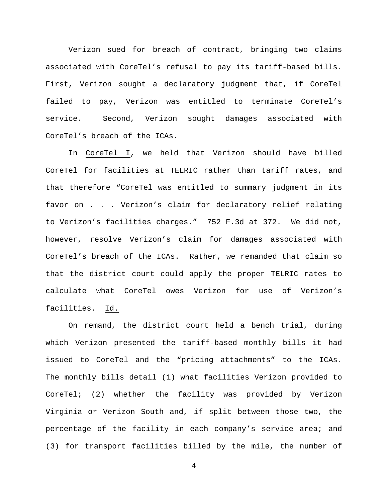Verizon sued for breach of contract, bringing two claims associated with CoreTel's refusal to pay its tariff-based bills. First, Verizon sought a declaratory judgment that, if CoreTel failed to pay, Verizon was entitled to terminate CoreTel's service. Second, Verizon sought damages associated with CoreTel's breach of the ICAs.

In CoreTel I, we held that Verizon should have billed CoreTel for facilities at TELRIC rather than tariff rates, and that therefore "CoreTel was entitled to summary judgment in its favor on . . . Verizon's claim for declaratory relief relating to Verizon's facilities charges." 752 F.3d at 372. We did not, however, resolve Verizon's claim for damages associated with CoreTel's breach of the ICAs. Rather, we remanded that claim so that the district court could apply the proper TELRIC rates to calculate what CoreTel owes Verizon for use of Verizon's facilities. Id.

On remand, the district court held a bench trial, during which Verizon presented the tariff-based monthly bills it had issued to CoreTel and the "pricing attachments" to the ICAs. The monthly bills detail (1) what facilities Verizon provided to CoreTel; (2) whether the facility was provided by Verizon Virginia or Verizon South and, if split between those two, the percentage of the facility in each company's service area; and (3) for transport facilities billed by the mile, the number of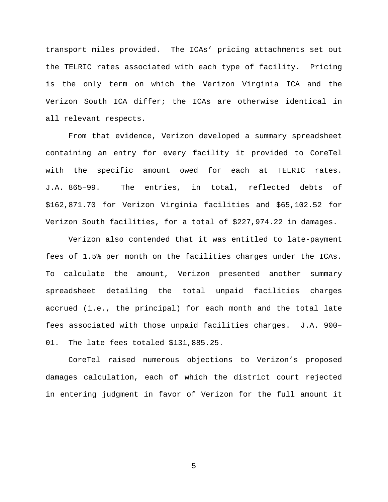transport miles provided. The ICAs' pricing attachments set out the TELRIC rates associated with each type of facility. Pricing is the only term on which the Verizon Virginia ICA and the Verizon South ICA differ; the ICAs are otherwise identical in all relevant respects.

From that evidence, Verizon developed a summary spreadsheet containing an entry for every facility it provided to CoreTel with the specific amount owed for each at TELRIC rates. J.A. 865–99. The entries, in total, reflected debts of \$162,871.70 for Verizon Virginia facilities and \$65,102.52 for Verizon South facilities, for a total of \$227,974.22 in damages.

Verizon also contended that it was entitled to late-payment fees of 1.5% per month on the facilities charges under the ICAs. To calculate the amount, Verizon presented another summary spreadsheet detailing the total unpaid facilities charges accrued (i.e., the principal) for each month and the total late fees associated with those unpaid facilities charges. J.A. 900– 01. The late fees totaled \$131,885.25.

CoreTel raised numerous objections to Verizon's proposed damages calculation, each of which the district court rejected in entering judgment in favor of Verizon for the full amount it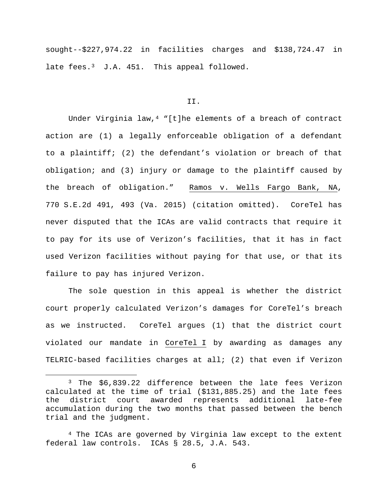sought--\$227,974.22 in facilities charges and \$138,724.47 in late fees.<sup>[3](#page-5-0)</sup> J.A. 451. This appeal followed.

#### II.

Under Virginia law,  $4$  "[t]he elements of a breach of contract action are (1) a legally enforceable obligation of a defendant to a plaintiff; (2) the defendant's violation or breach of that obligation; and (3) injury or damage to the plaintiff caused by the breach of obligation." Ramos v. Wells Fargo Bank, NA, 770 S.E.2d 491, 493 (Va. 2015) (citation omitted). CoreTel has never disputed that the ICAs are valid contracts that require it to pay for its use of Verizon's facilities, that it has in fact used Verizon facilities without paying for that use, or that its failure to pay has injured Verizon.

The sole question in this appeal is whether the district court properly calculated Verizon's damages for CoreTel's breach as we instructed. CoreTel argues (1) that the district court violated our mandate in CoreTel I by awarding as damages any TELRIC-based facilities charges at all; (2) that even if Verizon

<span id="page-5-0"></span> <sup>3</sup> The \$6,839.22 difference between the late fees Verizon calculated at the time of trial (\$131,885.25) and the late fees awarded represents additional late-fee accumulation during the two months that passed between the bench trial and the judgment.

<span id="page-5-1"></span><sup>&</sup>lt;sup>4</sup> The ICAs are governed by Virginia law except to the extent federal law controls. ICAs § 28.5, J.A. 543.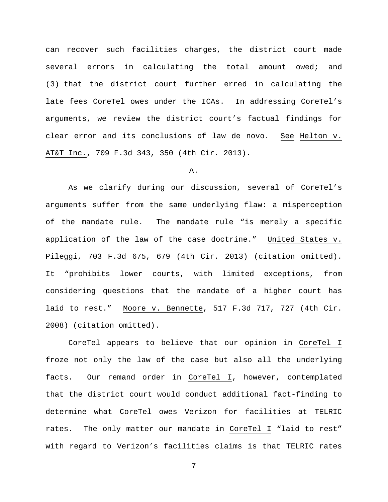can recover such facilities charges, the district court made several errors in calculating the total amount owed; and (3) that the district court further erred in calculating the late fees CoreTel owes under the ICAs. In addressing CoreTel's arguments, we review the district court's factual findings for clear error and its conclusions of law de novo. See Helton v. AT&T Inc., 709 F.3d 343, 350 (4th Cir. 2013).

# A.

As we clarify during our discussion, several of CoreTel's arguments suffer from the same underlying flaw: a misperception of the mandate rule. The mandate rule "is merely a specific application of the law of the case doctrine." United States v. Pileggi, 703 F.3d 675, 679 (4th Cir. 2013) (citation omitted). It "prohibits lower courts, with limited exceptions, from considering questions that the mandate of a higher court has laid to rest." Moore v. Bennette, 517 F.3d 717, 727 (4th Cir. 2008) (citation omitted).

CoreTel appears to believe that our opinion in CoreTel I froze not only the law of the case but also all the underlying facts. Our remand order in CoreTel I, however, contemplated that the district court would conduct additional fact-finding to determine what CoreTel owes Verizon for facilities at TELRIC rates. The only matter our mandate in CoreTel I "laid to rest" with regard to Verizon's facilities claims is that TELRIC rates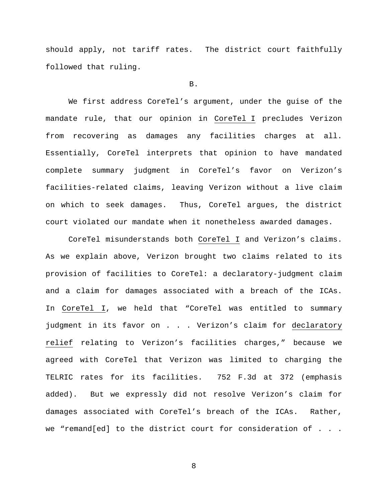should apply, not tariff rates. The district court faithfully followed that ruling.

### B.

We first address CoreTel's argument, under the guise of the mandate rule, that our opinion in CoreTel I precludes Verizon from recovering as damages any facilities charges at all. Essentially, CoreTel interprets that opinion to have mandated complete summary judgment in CoreTel's favor on Verizon's facilities-related claims, leaving Verizon without a live claim on which to seek damages. Thus, CoreTel argues, the district court violated our mandate when it nonetheless awarded damages.

CoreTel misunderstands both CoreTel I and Verizon's claims. As we explain above, Verizon brought two claims related to its provision of facilities to CoreTel: a declaratory-judgment claim and a claim for damages associated with a breach of the ICAs. In CoreTel I, we held that "CoreTel was entitled to summary judgment in its favor on . . . Verizon's claim for declaratory relief relating to Verizon's facilities charges," because we agreed with CoreTel that Verizon was limited to charging the TELRIC rates for its facilities. 752 F.3d at 372 (emphasis added). But we expressly did not resolve Verizon's claim for damages associated with CoreTel's breach of the ICAs. Rather, we "remand[ed] to the district court for consideration of . . .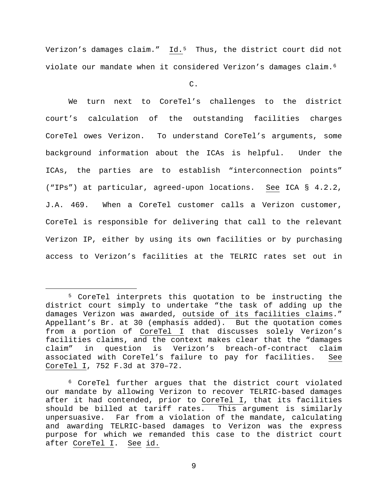Verizon's damages claim." Id.<sup>[5](#page-8-0)</sup> Thus, the district court did not violate our mandate when it considered Verizon's damages claim.[6](#page-8-1) 

C.

We turn next to CoreTel's challenges to the district court's calculation of the outstanding facilities charges CoreTel owes Verizon. To understand CoreTel's arguments, some background information about the ICAs is helpful. Under the ICAs, the parties are to establish "interconnection points" ("IPs") at particular, agreed-upon locations. See ICA § 4.2.2, J.A. 469. When a CoreTel customer calls a Verizon customer, CoreTel is responsible for delivering that call to the relevant Verizon IP, either by using its own facilities or by purchasing access to Verizon's facilities at the TELRIC rates set out in

<span id="page-8-0"></span> <sup>5</sup> CoreTel interprets this quotation to be instructing the district court simply to undertake "the task of adding up the damages Verizon was awarded, outside of its facilities claims." Appellant's Br. at 30 (emphasis added). But the quotation comes from a portion of CoreTel I that discusses solely Verizon's facilities claims, and the context makes clear that the "damages<br>claim" in question is Verizon's breach-of-contract claim claim" in question is Verizon's breach-of-contract associated with CoreTel's failure to pay for facilities. See CoreTel I, 752 F.3d at 370–72.

<span id="page-8-1"></span><sup>6</sup> CoreTel further argues that the district court violated our mandate by allowing Verizon to recover TELRIC-based damages after it had contended, prior to CoreTel I, that its facilities should be billed at tariff rates. This argument is similarly unpersuasive. Far from a violation of the mandate, calculating and awarding TELRIC-based damages to Verizon was the express purpose for which we remanded this case to the district court after CoreTel I. See id.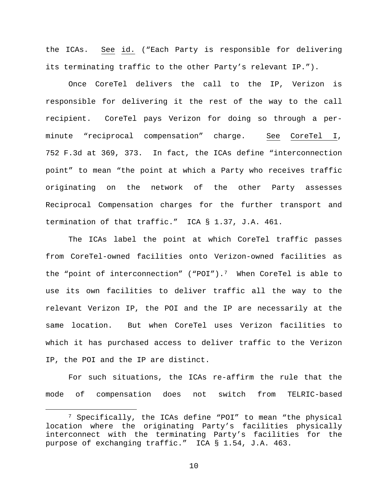the ICAs. See id. ("Each Party is responsible for delivering its terminating traffic to the other Party's relevant IP.").

Once CoreTel delivers the call to the IP, Verizon is responsible for delivering it the rest of the way to the call recipient. CoreTel pays Verizon for doing so through a perminute "reciprocal compensation" charge. See CoreTel I, 752 F.3d at 369, 373. In fact, the ICAs define "interconnection point" to mean "the point at which a Party who receives traffic originating on the network of the other Party assesses Reciprocal Compensation charges for the further transport and termination of that traffic." ICA § 1.37, J.A. 461.

The ICAs label the point at which CoreTel traffic passes from CoreTel-owned facilities onto Verizon-owned facilities as the "point of interconnection" ("POI").[7](#page-9-0) When CoreTel is able to use its own facilities to deliver traffic all the way to the relevant Verizon IP, the POI and the IP are necessarily at the same location. But when CoreTel uses Verizon facilities to which it has purchased access to deliver traffic to the Verizon IP, the POI and the IP are distinct.

For such situations, the ICAs re-affirm the rule that the mode of compensation does not switch from TELRIC-based

<span id="page-9-0"></span> <sup>7</sup> Specifically, the ICAs define "POI" to mean "the physical location where the originating Party's facilities physically interconnect with the terminating Party's facilities for the purpose of exchanging traffic." ICA § 1.54, J.A. 463.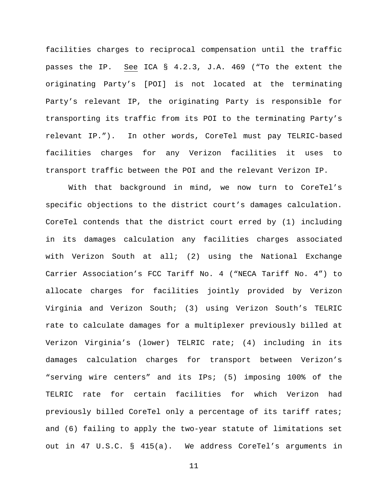facilities charges to reciprocal compensation until the traffic passes the IP. See ICA § 4.2.3, J.A. 469 ("To the extent the originating Party's [POI] is not located at the terminating Party's relevant IP, the originating Party is responsible for transporting its traffic from its POI to the terminating Party's relevant IP."). In other words, CoreTel must pay TELRIC-based facilities charges for any Verizon facilities it uses to transport traffic between the POI and the relevant Verizon IP.

With that background in mind, we now turn to CoreTel's specific objections to the district court's damages calculation. CoreTel contends that the district court erred by (1) including in its damages calculation any facilities charges associated with Verizon South at all; (2) using the National Exchange Carrier Association's FCC Tariff No. 4 ("NECA Tariff No. 4") to allocate charges for facilities jointly provided by Verizon Virginia and Verizon South; (3) using Verizon South's TELRIC rate to calculate damages for a multiplexer previously billed at Verizon Virginia's (lower) TELRIC rate; (4) including in its damages calculation charges for transport between Verizon's "serving wire centers" and its IPs; (5) imposing 100% of the TELRIC rate for certain facilities for which Verizon had previously billed CoreTel only a percentage of its tariff rates; and (6) failing to apply the two-year statute of limitations set out in 47 U.S.C. § 415(a). We address CoreTel's arguments in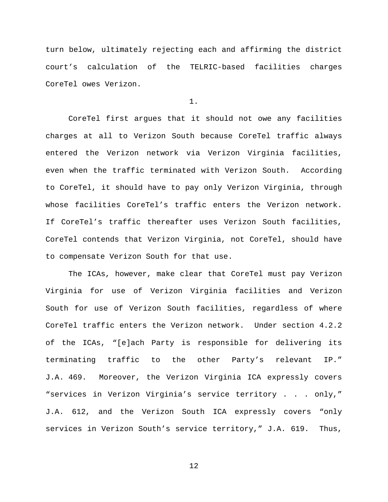turn below, ultimately rejecting each and affirming the district court's calculation of the TELRIC-based facilities charges CoreTel owes Verizon.

1.

CoreTel first argues that it should not owe any facilities charges at all to Verizon South because CoreTel traffic always entered the Verizon network via Verizon Virginia facilities, even when the traffic terminated with Verizon South. According to CoreTel, it should have to pay only Verizon Virginia, through whose facilities CoreTel's traffic enters the Verizon network. If CoreTel's traffic thereafter uses Verizon South facilities, CoreTel contends that Verizon Virginia, not CoreTel, should have to compensate Verizon South for that use.

The ICAs, however, make clear that CoreTel must pay Verizon Virginia for use of Verizon Virginia facilities and Verizon South for use of Verizon South facilities, regardless of where CoreTel traffic enters the Verizon network. Under section 4.2.2 of the ICAs, "[e]ach Party is responsible for delivering its terminating traffic to the other Party's relevant IP." J.A. 469. Moreover, the Verizon Virginia ICA expressly covers "services in Verizon Virginia's service territory . . . only," J.A. 612, and the Verizon South ICA expressly covers "only services in Verizon South's service territory," J.A. 619. Thus,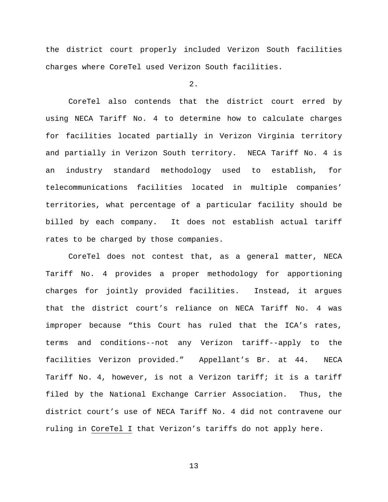the district court properly included Verizon South facilities charges where CoreTel used Verizon South facilities.

 $2.$ 

CoreTel also contends that the district court erred by using NECA Tariff No. 4 to determine how to calculate charges for facilities located partially in Verizon Virginia territory and partially in Verizon South territory. NECA Tariff No. 4 is an industry standard methodology used to establish, for telecommunications facilities located in multiple companies' territories, what percentage of a particular facility should be billed by each company. It does not establish actual tariff rates to be charged by those companies.

CoreTel does not contest that, as a general matter, NECA Tariff No. 4 provides a proper methodology for apportioning charges for jointly provided facilities. Instead, it argues that the district court's reliance on NECA Tariff No. 4 was improper because "this Court has ruled that the ICA's rates, terms and conditions--not any Verizon tariff--apply to the facilities Verizon provided." Appellant's Br. at 44. NECA Tariff No. 4, however, is not a Verizon tariff; it is a tariff filed by the National Exchange Carrier Association. Thus, the district court's use of NECA Tariff No. 4 did not contravene our ruling in CoreTel I that Verizon's tariffs do not apply here.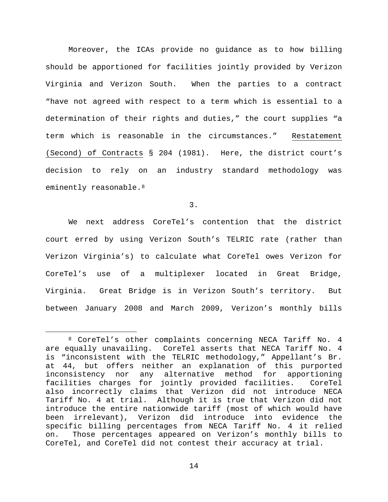Moreover, the ICAs provide no guidance as to how billing should be apportioned for facilities jointly provided by Verizon Virginia and Verizon South. When the parties to a contract "have not agreed with respect to a term which is essential to a determination of their rights and duties," the court supplies "a term which is reasonable in the circumstances." Restatement (Second) of Contracts § 204 (1981). Here, the district court's decision to rely on an industry standard methodology was eminently reasonable.<sup>[8](#page-13-0)</sup>

3.

We next address CoreTel's contention that the district court erred by using Verizon South's TELRIC rate (rather than Verizon Virginia's) to calculate what CoreTel owes Verizon for CoreTel's use of a multiplexer located in Great Bridge, Virginia. Great Bridge is in Verizon South's territory. But between January 2008 and March 2009, Verizon's monthly bills

<span id="page-13-0"></span> <sup>8</sup> CoreTel's other complaints concerning NECA Tariff No. 4 are equally unavailing. CoreTel asserts that NECA Tariff No. 4 is "inconsistent with the TELRIC methodology," Appellant's Br. at 44, but offers neither an explanation of this purported inconsistency nor any alternative method for apportioning facilities charges for jointly provided facilities. CoreTel also incorrectly claims that Verizon did not introduce NECA Tariff No. 4 at trial. Although it is true that Verizon did not introduce the entire nationwide tariff (most of which would have been irrelevant), Verizon did introduce into evidence the specific billing percentages from NECA Tariff No. 4 it relied on. Those percentages appeared on Verizon's monthly bills to CoreTel, and CoreTel did not contest their accuracy at trial.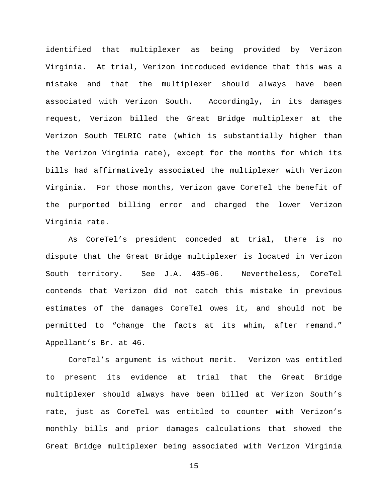identified that multiplexer as being provided by Verizon Virginia. At trial, Verizon introduced evidence that this was a mistake and that the multiplexer should always have been associated with Verizon South. Accordingly, in its damages request, Verizon billed the Great Bridge multiplexer at the Verizon South TELRIC rate (which is substantially higher than the Verizon Virginia rate), except for the months for which its bills had affirmatively associated the multiplexer with Verizon Virginia. For those months, Verizon gave CoreTel the benefit of the purported billing error and charged the lower Verizon Virginia rate.

As CoreTel's president conceded at trial, there is no dispute that the Great Bridge multiplexer is located in Verizon South territory. See J.A. 405–06. Nevertheless, CoreTel contends that Verizon did not catch this mistake in previous estimates of the damages CoreTel owes it, and should not be permitted to "change the facts at its whim, after remand." Appellant's Br. at 46.

CoreTel's argument is without merit. Verizon was entitled to present its evidence at trial that the Great Bridge multiplexer should always have been billed at Verizon South's rate, just as CoreTel was entitled to counter with Verizon's monthly bills and prior damages calculations that showed the Great Bridge multiplexer being associated with Verizon Virginia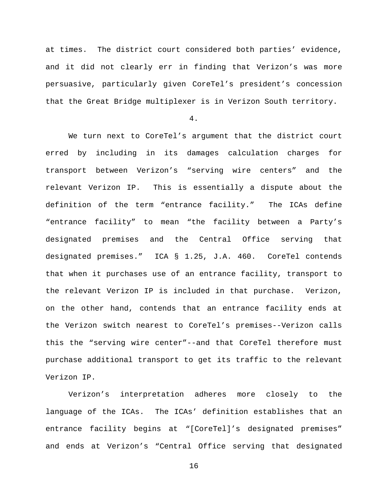at times. The district court considered both parties' evidence, and it did not clearly err in finding that Verizon's was more persuasive, particularly given CoreTel's president's concession that the Great Bridge multiplexer is in Verizon South territory.

4.

We turn next to CoreTel's argument that the district court erred by including in its damages calculation charges for transport between Verizon's "serving wire centers" and the relevant Verizon IP. This is essentially a dispute about the definition of the term "entrance facility." The ICAs define "entrance facility" to mean "the facility between a Party's designated premises and the Central Office serving that designated premises." ICA § 1.25, J.A. 460. CoreTel contends that when it purchases use of an entrance facility, transport to the relevant Verizon IP is included in that purchase. Verizon, on the other hand, contends that an entrance facility ends at the Verizon switch nearest to CoreTel's premises--Verizon calls this the "serving wire center"--and that CoreTel therefore must purchase additional transport to get its traffic to the relevant Verizon IP.

Verizon's interpretation adheres more closely to the language of the ICAs. The ICAs' definition establishes that an entrance facility begins at "[CoreTel]'s designated premises" and ends at Verizon's "Central Office serving that designated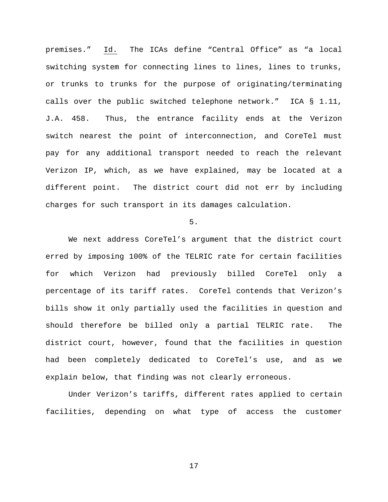premises." Id. The ICAs define "Central Office" as "a local switching system for connecting lines to lines, lines to trunks, or trunks to trunks for the purpose of originating/terminating calls over the public switched telephone network." ICA § 1.11, J.A. 458. Thus, the entrance facility ends at the Verizon switch nearest the point of interconnection, and CoreTel must pay for any additional transport needed to reach the relevant Verizon IP, which, as we have explained, may be located at a different point. The district court did not err by including charges for such transport in its damages calculation.

5.

We next address CoreTel's argument that the district court erred by imposing 100% of the TELRIC rate for certain facilities for which Verizon had previously billed CoreTel only a percentage of its tariff rates. CoreTel contends that Verizon's bills show it only partially used the facilities in question and should therefore be billed only a partial TELRIC rate. The district court, however, found that the facilities in question had been completely dedicated to CoreTel's use, and as we explain below, that finding was not clearly erroneous.

Under Verizon's tariffs, different rates applied to certain facilities, depending on what type of access the customer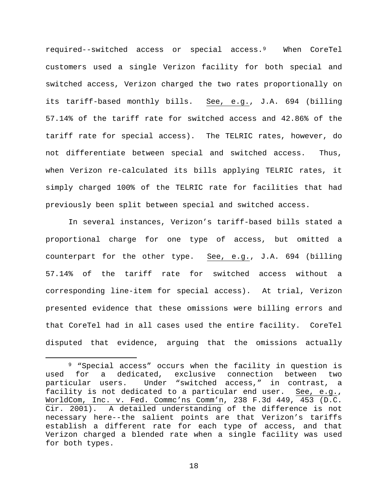required--switched access or special access.[9](#page-17-0) When CoreTel customers used a single Verizon facility for both special and switched access, Verizon charged the two rates proportionally on its tariff-based monthly bills. See, e.g., J.A. 694 (billing 57.14% of the tariff rate for switched access and 42.86% of the tariff rate for special access). The TELRIC rates, however, do not differentiate between special and switched access. Thus, when Verizon re-calculated its bills applying TELRIC rates, it simply charged 100% of the TELRIC rate for facilities that had previously been split between special and switched access.

In several instances, Verizon's tariff-based bills stated a proportional charge for one type of access, but omitted a counterpart for the other type. See, e.g., J.A. 694 (billing 57.14% of the tariff rate for switched access without a corresponding line-item for special access). At trial, Verizon presented evidence that these omissions were billing errors and that CoreTel had in all cases used the entire facility. CoreTel disputed that evidence, arguing that the omissions actually

<span id="page-17-0"></span><sup>&</sup>lt;sup>9</sup> "Special access" occurs when the facility in question is<br>for a dedicated, exclusive connection between two used for a dedicated, exclusive connection between two particular users. Under "switched access," in contrast, a facility is not dedicated to a particular end user. See, e.g., WorldCom, Inc. v. Fed. Commc'ns Comm'n, 238 F.3d 449, 453 (D.C. Cir. 2001). A detailed understanding of the difference is not necessary here--the salient points are that Verizon's tariffs establish a different rate for each type of access, and that Verizon charged a blended rate when a single facility was used for both types.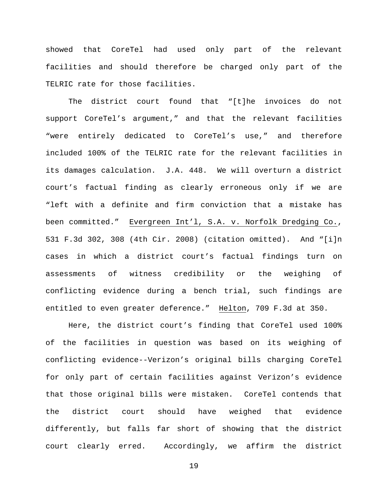showed that CoreTel had used only part of the relevant facilities and should therefore be charged only part of the TELRIC rate for those facilities.

The district court found that "[t]he invoices do not support CoreTel's argument," and that the relevant facilities "were entirely dedicated to CoreTel's use," and therefore included 100% of the TELRIC rate for the relevant facilities in its damages calculation. J.A. 448. We will overturn a district court's factual finding as clearly erroneous only if we are "left with a definite and firm conviction that a mistake has been committed." Evergreen Int'l, S.A. v. Norfolk Dredging Co., 531 F.3d 302, 308 (4th Cir. 2008) (citation omitted). And "[i]n cases in which a district court's factual findings turn on assessments of witness credibility or the weighing of conflicting evidence during a bench trial, such findings are entitled to even greater deference." Helton, 709 F.3d at 350.

Here, the district court's finding that CoreTel used 100% of the facilities in question was based on its weighing of conflicting evidence--Verizon's original bills charging CoreTel for only part of certain facilities against Verizon's evidence that those original bills were mistaken. CoreTel contends that the district court should have weighed that evidence differently, but falls far short of showing that the district court clearly erred. Accordingly, we affirm the district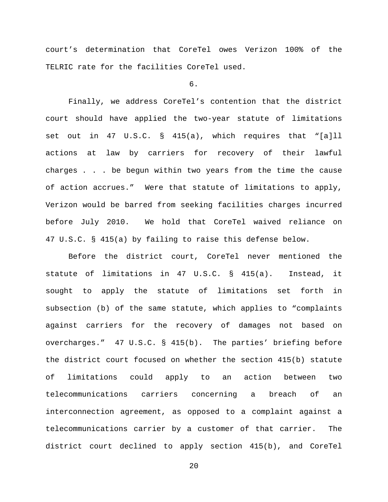court's determination that CoreTel owes Verizon 100% of the TELRIC rate for the facilities CoreTel used.

# 6.

Finally, we address CoreTel's contention that the district court should have applied the two-year statute of limitations set out in 47 U.S.C. § 415(a), which requires that "[a]ll actions at law by carriers for recovery of their lawful charges . . . be begun within two years from the time the cause of action accrues." Were that statute of limitations to apply, Verizon would be barred from seeking facilities charges incurred before July 2010. We hold that CoreTel waived reliance on 47 U.S.C. § 415(a) by failing to raise this defense below.

Before the district court, CoreTel never mentioned the statute of limitations in 47 U.S.C. § 415(a). Instead, it sought to apply the statute of limitations set forth in subsection (b) of the same statute, which applies to "complaints against carriers for the recovery of damages not based on overcharges." 47 U.S.C. § 415(b). The parties' briefing before the district court focused on whether the section 415(b) statute of limitations could apply to an action between two telecommunications carriers concerning a breach of an interconnection agreement, as opposed to a complaint against a telecommunications carrier by a customer of that carrier. The district court declined to apply section 415(b), and CoreTel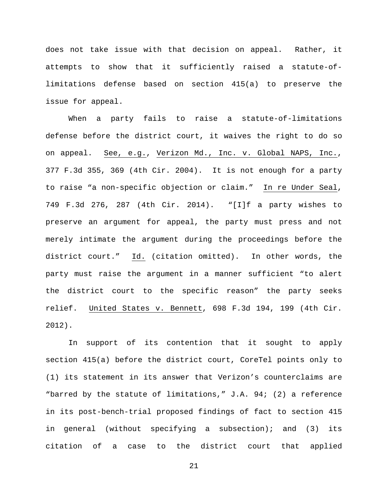does not take issue with that decision on appeal. Rather, it attempts to show that it sufficiently raised a statute-oflimitations defense based on section 415(a) to preserve the issue for appeal.

When a party fails to raise a statute-of-limitations defense before the district court, it waives the right to do so on appeal. See, e.g., Verizon Md., Inc. v. Global NAPS, Inc., 377 F.3d 355, 369 (4th Cir. 2004). It is not enough for a party to raise "a non-specific objection or claim." In re Under Seal, 749 F.3d 276, 287 (4th Cir. 2014). "[I]f a party wishes to preserve an argument for appeal, the party must press and not merely intimate the argument during the proceedings before the district court." Id. (citation omitted). In other words, the party must raise the argument in a manner sufficient "to alert the district court to the specific reason" the party seeks relief. United States v. Bennett, 698 F.3d 194, 199 (4th Cir. 2012).

In support of its contention that it sought to apply section 415(a) before the district court, CoreTel points only to (1) its statement in its answer that Verizon's counterclaims are "barred by the statute of limitations," J.A. 94; (2) a reference in its post-bench-trial proposed findings of fact to section 415 in general (without specifying a subsection); and (3) its citation of a case to the district court that applied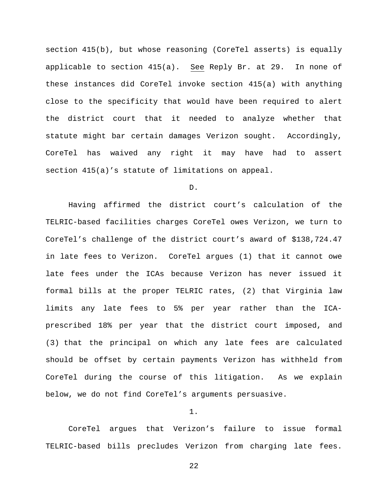section  $415(b)$ , but whose reasoning (CoreTel asserts) is equally applicable to section 415(a). See Reply Br. at 29. In none of these instances did CoreTel invoke section 415(a) with anything close to the specificity that would have been required to alert the district court that it needed to analyze whether that statute might bar certain damages Verizon sought. Accordingly, CoreTel has waived any right it may have had to assert section 415(a)'s statute of limitations on appeal.

# D.

Having affirmed the district court's calculation of the TELRIC-based facilities charges CoreTel owes Verizon, we turn to CoreTel's challenge of the district court's award of \$138,724.47 in late fees to Verizon. CoreTel argues (1) that it cannot owe late fees under the ICAs because Verizon has never issued it formal bills at the proper TELRIC rates, (2) that Virginia law limits any late fees to 5% per year rather than the ICAprescribed 18% per year that the district court imposed, and (3) that the principal on which any late fees are calculated should be offset by certain payments Verizon has withheld from CoreTel during the course of this litigation. As we explain below, we do not find CoreTel's arguments persuasive.

## 1.

CoreTel argues that Verizon's failure to issue formal TELRIC-based bills precludes Verizon from charging late fees.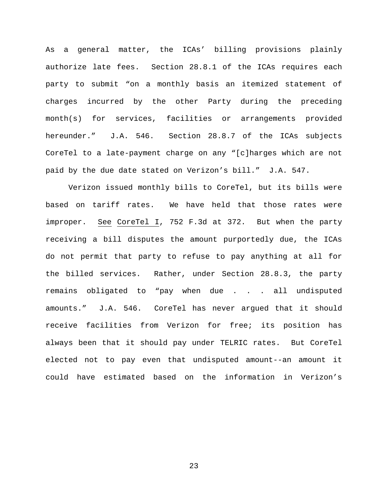As a general matter, the ICAs' billing provisions plainly authorize late fees. Section 28.8.1 of the ICAs requires each party to submit "on a monthly basis an itemized statement of charges incurred by the other Party during the preceding month(s) for services, facilities or arrangements provided hereunder." J.A. 546. Section 28.8.7 of the ICAs subjects CoreTel to a late-payment charge on any "[c]harges which are not paid by the due date stated on Verizon's bill." J.A. 547.

Verizon issued monthly bills to CoreTel, but its bills were based on tariff rates. We have held that those rates were improper. See CoreTel I, 752 F.3d at 372. But when the party receiving a bill disputes the amount purportedly due, the ICAs do not permit that party to refuse to pay anything at all for the billed services. Rather, under Section 28.8.3, the party remains obligated to "pay when due . . . all undisputed amounts." J.A. 546. CoreTel has never argued that it should receive facilities from Verizon for free; its position has always been that it should pay under TELRIC rates. But CoreTel elected not to pay even that undisputed amount--an amount it could have estimated based on the information in Verizon's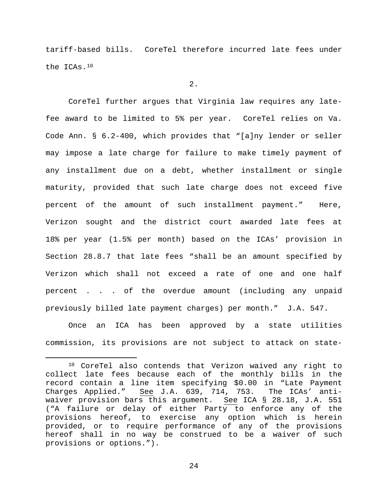tariff-based bills. CoreTel therefore incurred late fees under the ICAs.[10](#page-23-0)

 $2.$ 

CoreTel further argues that Virginia law requires any latefee award to be limited to 5% per year. CoreTel relies on Va. Code Ann. § 6.2-400, which provides that "[a]ny lender or seller may impose a late charge for failure to make timely payment of any installment due on a debt, whether installment or single maturity, provided that such late charge does not exceed five percent of the amount of such installment payment." Here, Verizon sought and the district court awarded late fees at 18% per year (1.5% per month) based on the ICAs' provision in Section 28.8.7 that late fees "shall be an amount specified by Verizon which shall not exceed a rate of one and one half percent . . . of the overdue amount (including any unpaid previously billed late payment charges) per month." J.A. 547.

Once an ICA has been approved by a state utilities commission, its provisions are not subject to attack on state-

<span id="page-23-0"></span> <sup>10</sup> CoreTel also contends that Verizon waived any right to collect late fees because each of the monthly bills in the record contain a line item specifying \$0.00 in "Late Payment Charges Applied." See J.A. 639, 714, 753. The ICAs' antiwaiver provision bars this argument. See ICA § 28.18, J.A. 551 ("A failure or delay of either Party to enforce any of the provisions hereof, to exercise any option which is herein provided, or to require performance of any of the provisions hereof shall in no way be construed to be a waiver of such provisions or options.").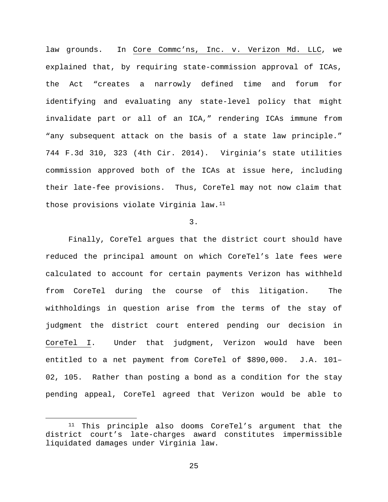law grounds. In Core Commc'ns, Inc. v. Verizon Md. LLC, we explained that, by requiring state-commission approval of ICAs, the Act "creates a narrowly defined time and forum for identifying and evaluating any state-level policy that might invalidate part or all of an ICA," rendering ICAs immune from "any subsequent attack on the basis of a state law principle." 744 F.3d 310, 323 (4th Cir. 2014). Virginia's state utilities commission approved both of the ICAs at issue here, including their late-fee provisions. Thus, CoreTel may not now claim that those provisions violate Virginia law.<sup>[11](#page-24-0)</sup>

# 3.

Finally, CoreTel argues that the district court should have reduced the principal amount on which CoreTel's late fees were calculated to account for certain payments Verizon has withheld from CoreTel during the course of this litigation. The withholdings in question arise from the terms of the stay of judgment the district court entered pending our decision in CoreTel I. Under that judgment, Verizon would have been entitled to a net payment from CoreTel of \$890,000. J.A. 101– 02, 105. Rather than posting a bond as a condition for the stay pending appeal, CoreTel agreed that Verizon would be able to

<span id="page-24-0"></span> <sup>11</sup> This principle also dooms CoreTel's argument that the district court's late-charges award constitutes impermissible liquidated damages under Virginia law.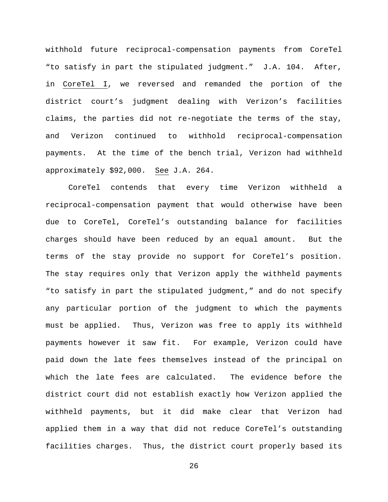withhold future reciprocal-compensation payments from CoreTel "to satisfy in part the stipulated judgment." J.A. 104. After, in CoreTel I, we reversed and remanded the portion of the district court's judgment dealing with Verizon's facilities claims, the parties did not re-negotiate the terms of the stay, and Verizon continued to withhold reciprocal-compensation payments. At the time of the bench trial, Verizon had withheld approximately \$92,000. See J.A. 264.

CoreTel contends that every time Verizon withheld a reciprocal-compensation payment that would otherwise have been due to CoreTel, CoreTel's outstanding balance for facilities charges should have been reduced by an equal amount. But the terms of the stay provide no support for CoreTel's position. The stay requires only that Verizon apply the withheld payments "to satisfy in part the stipulated judgment," and do not specify any particular portion of the judgment to which the payments must be applied. Thus, Verizon was free to apply its withheld payments however it saw fit. For example, Verizon could have paid down the late fees themselves instead of the principal on which the late fees are calculated. The evidence before the district court did not establish exactly how Verizon applied the withheld payments, but it did make clear that Verizon had applied them in a way that did not reduce CoreTel's outstanding facilities charges. Thus, the district court properly based its